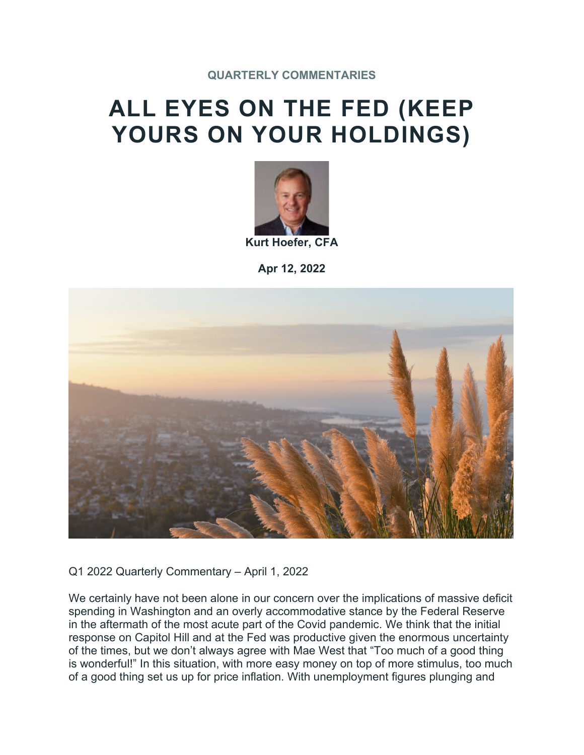# **ALL EYES ON THE FED (KEEP YOURS ON YOUR HOLDINGS)**



**Apr 12, 2022**



Q1 2022 Quarterly Commentary – April 1, 2022

We certainly have not been alone in our concern over the implications of massive deficit spending in Washington and an overly accommodative stance by the Federal Reserve in the aftermath of the most acute part of the Covid pandemic. We think that the initial response on Capitol Hill and at the Fed was productive given the enormous uncertainty of the times, but we don't always agree with Mae West that "Too much of a good thing is wonderful!" In this situation, with more easy money on top of more stimulus, too much of a good thing set us up for price inflation. With unemployment figures plunging and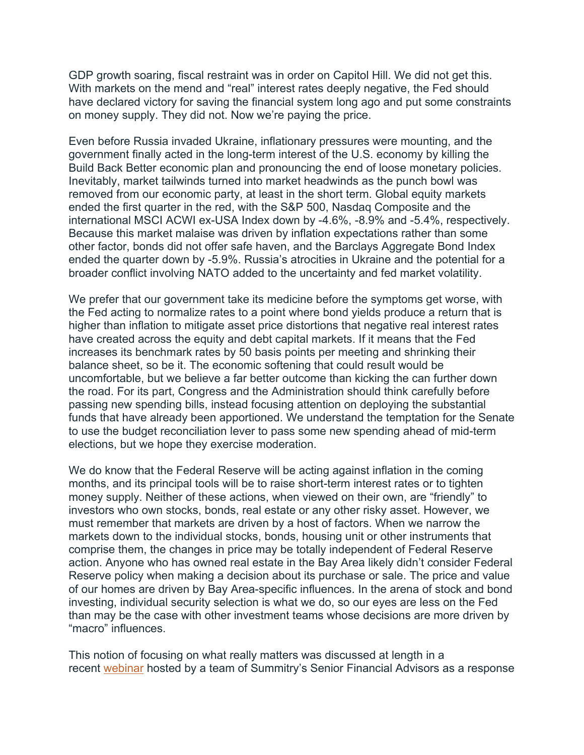GDP growth soaring, fiscal restraint was in order on Capitol Hill. We did not get this. With markets on the mend and "real" interest rates deeply negative, the Fed should have declared victory for saving the financial system long ago and put some constraints on money supply. They did not. Now we're paying the price.

Even before Russia invaded Ukraine, inflationary pressures were mounting, and the government finally acted in the long-term interest of the U.S. economy by killing the Build Back Better economic plan and pronouncing the end of loose monetary policies. Inevitably, market tailwinds turned into market headwinds as the punch bowl was removed from our economic party, at least in the short term. Global equity markets ended the first quarter in the red, with the S&P 500, Nasdaq Composite and the international MSCI ACWI ex-USA Index down by -4.6%, -8.9% and -5.4%, respectively. Because this market malaise was driven by inflation expectations rather than some other factor, bonds did not offer safe haven, and the Barclays Aggregate Bond Index ended the quarter down by -5.9%. Russia's atrocities in Ukraine and the potential for a broader conflict involving NATO added to the uncertainty and fed market volatility.

We prefer that our government take its medicine before the symptoms get worse, with the Fed acting to normalize rates to a point where bond yields produce a return that is higher than inflation to mitigate asset price distortions that negative real interest rates have created across the equity and debt capital markets. If it means that the Fed increases its benchmark rates by 50 basis points per meeting and shrinking their balance sheet, so be it. The economic softening that could result would be uncomfortable, but we believe a far better outcome than kicking the can further down the road. For its part, Congress and the Administration should think carefully before passing new spending bills, instead focusing attention on deploying the substantial funds that have already been apportioned. We understand the temptation for the Senate to use the budget reconciliation lever to pass some new spending ahead of mid-term elections, but we hope they exercise moderation.

We do know that the Federal Reserve will be acting against inflation in the coming months, and its principal tools will be to raise short-term interest rates or to tighten money supply. Neither of these actions, when viewed on their own, are "friendly" to investors who own stocks, bonds, real estate or any other risky asset. However, we must remember that markets are driven by a host of factors. When we narrow the markets down to the individual stocks, bonds, housing unit or other instruments that comprise them, the changes in price may be totally independent of Federal Reserve action. Anyone who has owned real estate in the Bay Area likely didn't consider Federal Reserve policy when making a decision about its purchase or sale. The price and value of our homes are driven by Bay Area-specific influences. In the arena of stock and bond investing, individual security selection is what we do, so our eyes are less on the Fed than may be the case with other investment teams whose decisions are more driven by "macro" influences.

This notion of focusing on what really matters was discussed at length in a recent [webinar](https://bayarea.summitry.com/acton/fs/blocks/showLandingPage/a/43668/p/p-002e/t/page/fm/0) hosted by a team of Summitry's Senior Financial Advisors as a response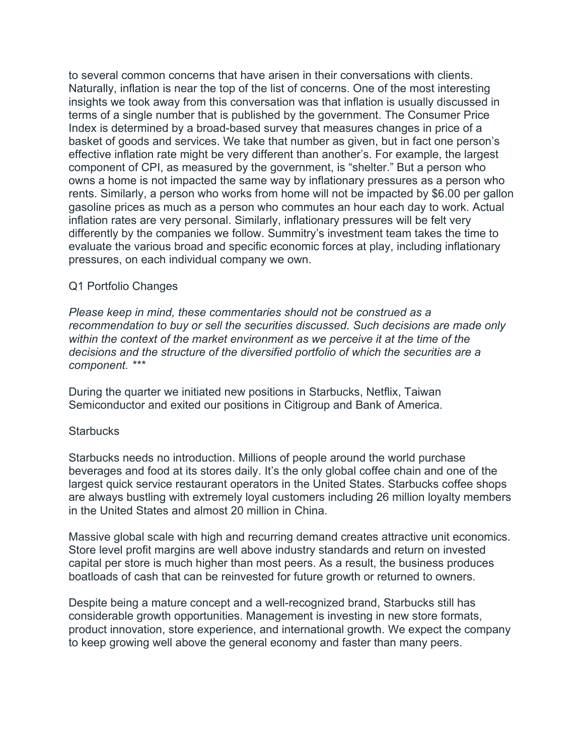to several common concerns that have arisen in their conversations with clients. Naturally, inflation is near the top of the list of concerns. One of the most interesting insights we took away from this conversation was that inflation is usually discussed in terms of a single number that is published by the government. The Consumer Price Index is determined by a broad-based survey that measures changes in price of a basket of goods and services. We take that number as given, but in fact one person's effective inflation rate might be very different than another's. For example, the largest component of CPI, as measured by the government, is "shelter." But a person who owns a home is not impacted the same way by inflationary pressures as a person who rents. Similarly, a person who works from home will not be impacted by \$6.00 per gallon gasoline prices as much as a person who commutes an hour each day to work. Actual inflation rates are very personal. Similarly, inflationary pressures will be felt very differently by the companies we follow. Summitry's investment team takes the time to evaluate the various broad and specific economic forces at play, including inflationary pressures, on each individual company we own.

## Q1 Portfolio Changes

*Please keep in mind, these commentaries should not be construed as a recommendation to buy or sell the securities discussed. Such decisions are made only within the context of the market environment as we perceive it at the time of the decisions and the structure of the diversified portfolio of which the securities are a component. \*\*\**

During the quarter we initiated new positions in Starbucks, Netflix, Taiwan Semiconductor and exited our positions in Citigroup and Bank of America.

### **Starbucks**

Starbucks needs no introduction. Millions of people around the world purchase beverages and food at its stores daily. It's the only global coffee chain and one of the largest quick service restaurant operators in the United States. Starbucks coffee shops are always bustling with extremely loyal customers including 26 million loyalty members in the United States and almost 20 million in China.

Massive global scale with high and recurring demand creates attractive unit economics. Store level profit margins are well above industry standards and return on invested capital per store is much higher than most peers. As a result, the business produces boatloads of cash that can be reinvested for future growth or returned to owners.

Despite being a mature concept and a well-recognized brand, Starbucks still has considerable growth opportunities. Management is investing in new store formats, product innovation, store experience, and international growth. We expect the company to keep growing well above the general economy and faster than many peers.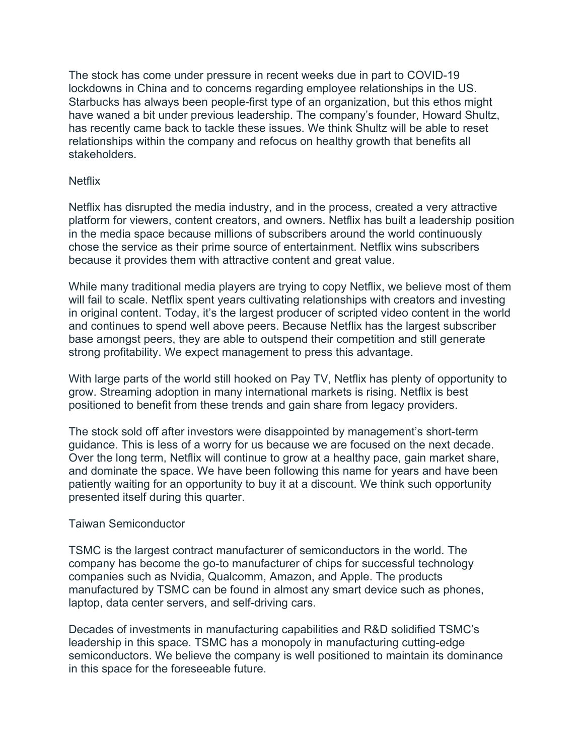The stock has come under pressure in recent weeks due in part to COVID-19 lockdowns in China and to concerns regarding employee relationships in the US. Starbucks has always been people-first type of an organization, but this ethos might have waned a bit under previous leadership. The company's founder, Howard Shultz, has recently came back to tackle these issues. We think Shultz will be able to reset relationships within the company and refocus on healthy growth that benefits all stakeholders.

#### **Netflix**

Netflix has disrupted the media industry, and in the process, created a very attractive platform for viewers, content creators, and owners. Netflix has built a leadership position in the media space because millions of subscribers around the world continuously chose the service as their prime source of entertainment. Netflix wins subscribers because it provides them with attractive content and great value.

While many traditional media players are trying to copy Netflix, we believe most of them will fail to scale. Netflix spent years cultivating relationships with creators and investing in original content. Today, it's the largest producer of scripted video content in the world and continues to spend well above peers. Because Netflix has the largest subscriber base amongst peers, they are able to outspend their competition and still generate strong profitability. We expect management to press this advantage.

With large parts of the world still hooked on Pay TV, Netflix has plenty of opportunity to grow. Streaming adoption in many international markets is rising. Netflix is best positioned to benefit from these trends and gain share from legacy providers.

The stock sold off after investors were disappointed by management's short-term guidance. This is less of a worry for us because we are focused on the next decade. Over the long term, Netflix will continue to grow at a healthy pace, gain market share, and dominate the space. We have been following this name for years and have been patiently waiting for an opportunity to buy it at a discount. We think such opportunity presented itself during this quarter.

#### Taiwan Semiconductor

TSMC is the largest contract manufacturer of semiconductors in the world. The company has become the go-to manufacturer of chips for successful technology companies such as Nvidia, Qualcomm, Amazon, and Apple. The products manufactured by TSMC can be found in almost any smart device such as phones, laptop, data center servers, and self-driving cars.

Decades of investments in manufacturing capabilities and R&D solidified TSMC's leadership in this space. TSMC has a monopoly in manufacturing cutting-edge semiconductors. We believe the company is well positioned to maintain its dominance in this space for the foreseeable future.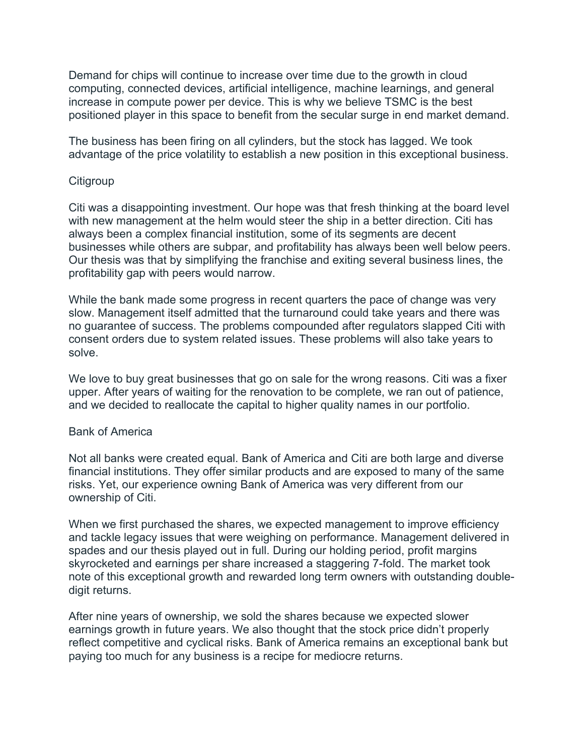Demand for chips will continue to increase over time due to the growth in cloud computing, connected devices, artificial intelligence, machine learnings, and general increase in compute power per device. This is why we believe TSMC is the best positioned player in this space to benefit from the secular surge in end market demand.

The business has been firing on all cylinders, but the stock has lagged. We took advantage of the price volatility to establish a new position in this exceptional business.

#### **Citigroup**

Citi was a disappointing investment. Our hope was that fresh thinking at the board level with new management at the helm would steer the ship in a better direction. Citi has always been a complex financial institution, some of its segments are decent businesses while others are subpar, and profitability has always been well below peers. Our thesis was that by simplifying the franchise and exiting several business lines, the profitability gap with peers would narrow.

While the bank made some progress in recent quarters the pace of change was very slow. Management itself admitted that the turnaround could take years and there was no guarantee of success. The problems compounded after regulators slapped Citi with consent orders due to system related issues. These problems will also take years to solve.

We love to buy great businesses that go on sale for the wrong reasons. Citi was a fixer upper. After years of waiting for the renovation to be complete, we ran out of patience, and we decided to reallocate the capital to higher quality names in our portfolio.

#### Bank of America

Not all banks were created equal. Bank of America and Citi are both large and diverse financial institutions. They offer similar products and are exposed to many of the same risks. Yet, our experience owning Bank of America was very different from our ownership of Citi.

When we first purchased the shares, we expected management to improve efficiency and tackle legacy issues that were weighing on performance. Management delivered in spades and our thesis played out in full. During our holding period, profit margins skyrocketed and earnings per share increased a staggering 7-fold. The market took note of this exceptional growth and rewarded long term owners with outstanding doubledigit returns.

After nine years of ownership, we sold the shares because we expected slower earnings growth in future years. We also thought that the stock price didn't properly reflect competitive and cyclical risks. Bank of America remains an exceptional bank but paying too much for any business is a recipe for mediocre returns.